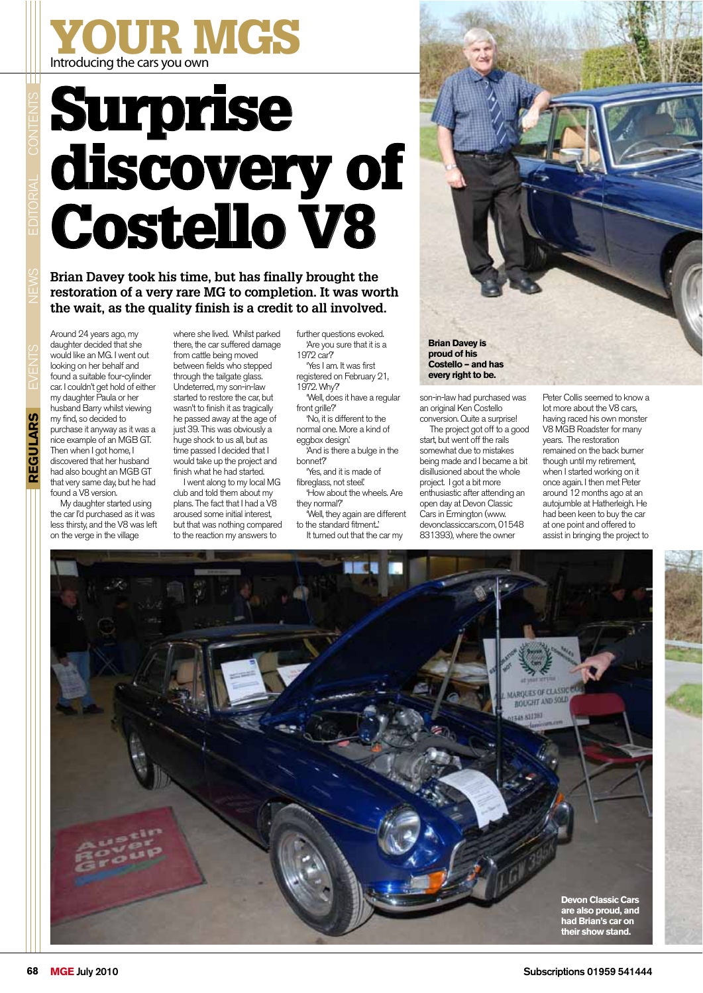## Introducing the cars you own YOUR MGS

## Surprise discovery of Costello V8

**Brian Davey took his time, but has finally brought the restoration of a very rare MG to completion. It was worth the wait, as the quality finish is a credit to all involved.**

Around 24 years ago, my daughter decided that she would like an MG. I went out looking on her behalf and found a suitable four-cylinder car. I couldn't get hold of either my daughter Paula or her husband Barry whilst viewing my find, so decided to purchase it anyway as it was a nice example of an MGB GT. Then when I got home. I discovered that her husband had also bought an MGB GT that very same day, but he had found a V8 version.

My daughter started using the car I'd purchased as it was less thirsty, and the V8 was left on the verge in the village

where she lived. Whilst parked there, the car suffered damage from cattle being moved between fields who stepped through the tailgate glass. Undeterred, my son-in-law started to restore the car, but wasn't to finish it as tragically he passed away at the age of just 39. This was obviously a huge shock to us all, but as time passed I decided that I would take up the project and finish what he had started.

I went along to my local MG club and told them about my plans. The fact that I had a V8 aroused some initial interest, but that was nothing compared to the reaction my answers to

further questions evoked. 'Are you sure that it is a 1972 car?' 'Yes I am. It was first registered on February 21,

1972. Why?' 'Well, does it have a regular front grille?

'No, it is different to the normal one. More a kind of eggbox design.'

'And is there a bulge in the bonnet?'

'Yes, and it is made of fibreglass, not steel! 'How about the wheels. Are

they normal?' 'Well, they again are different

to the standard fitment..' It turned out that the car my



**Costello – and has every right to be.**

son-in-law had purchased was an original Ken Costello conversion. Quite a surprise!

The project got off to a good start, but went off the rails somewhat due to mistakes being made and I became a bit disillusioned about the whole project. I got a bit more enthusiastic after attending an open day at Devon Classic Cars in Ermington (www. devonclassiccars.com, 01548 831393), where the owner

Peter Collis seemed to know a lot more about the V8 cars, having raced his own monster V8 MGB Roadster for many years. The restoration remained on the back burner though until my retirement, when I started working on it once again. I then met Peter around 12 months ago at an autojumble at Hatherleigh. He had been keen to buy the car at one point and offered to assist in bringing the project to